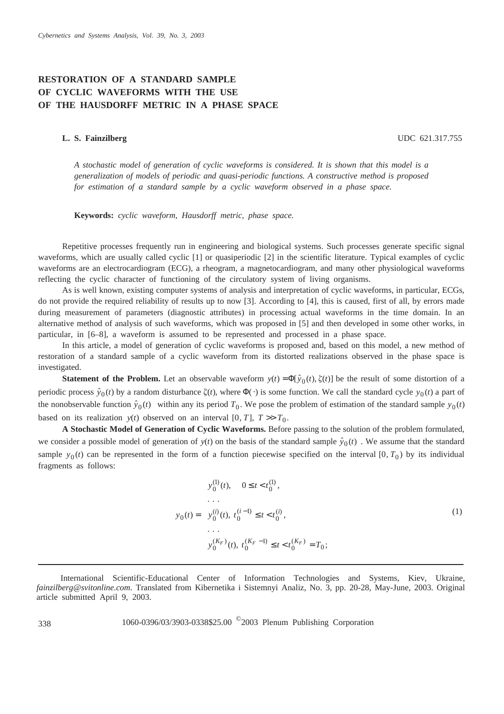## **RESTORATION OF A STANDARD SAMPLE OF CYCLIC WAVEFORMS WITH THE USE OF THE HAUSDORFF METRIC IN A PHASE SPACE**

**L. S. Fainzilberg** UDC 621.317.755

*A stochastic model of generation of cyclic waveforms is considered. It is shown that this model is a generalization of models of periodic and quasi-periodic functions. A constructive method is proposed for estimation of a standard sample by a cyclic waveform observed in a phase space.*

**Keywords:** *cyclic waveform, Hausdorff metric, phase space.*

Repetitive processes frequently run in engineering and biological systems. Such processes generate specific signal waveforms, which are usually called cyclic [1] or quasiperiodic [2] in the scientific literature. Typical examples of cyclic waveforms are an electrocardiogram (ECG), a rheogram, a magnetocardiogram, and many other physiological waveforms reflecting the cyclic character of functioning of the circulatory system of living organisms.

As is well known, existing computer systems of analysis and interpretation of cyclic waveforms, in particular, ECGs, do not provide the required reliability of results up to now [3]. According to [4], this is caused, first of all, by errors made during measurement of parameters (diagnostic attributes) in processing actual waveforms in the time domain. In an alternative method of analysis of such waveforms, which was proposed in [5] and then developed in some other works, in particular, in [6–8], a waveform is assumed to be represented and processed in a phase space.

In this article, a model of generation of cyclic waveforms is proposed and, based on this model, a new method of restoration of a standard sample of a cyclic waveform from its distorted realizations observed in the phase space is investigated.

**Statement of the Problem.** Let an observable waveform  $y(t) = \Phi[\hat{y}_0(t), \xi(t)]$  be the result of some distortion of a periodic process  $\hat{y}_0(t)$  by a random disturbance  $\zeta(t)$ , where  $\Phi(\cdot)$  is some function. We call the standard cycle *y*<sub>0</sub>(*t*) a part of the nonobservable function  $\hat{y}_0(t)$  within any its period  $T_0$ . We pose the problem of estimation of the standard sample  $y_0(t)$ based on its realization  $y(t)$  observed on an interval [0, T],  $T \gg T_0$ .

**A Stochastic Model of Generation of Cyclic Waveforms.** Before passing to the solution of the problem formulated, we consider a possible model of generation of  $y(t)$  on the basis of the standard sample  $\hat{y}_0(t)$ . We assume that the standard sample  $y_0(t)$  can be represented in the form of a function piecewise specified on the interval [0,  $T_0$ ) by its individual fragments as follows:

$$
y_0(t) = \begin{cases} y_0^{(1)}(t), & 0 \le t < t_0^{(1)}, \\ \dots \\ y_0^{(i)}(t), & t_0^{(i-1)} \le t < t_0^{(i)}, \\ \dots \\ y_0^{(K_F)}(t), & t_0^{(K_F - 1)} \le t < t_0^{(K_F)} = T_0; \end{cases}
$$
(1)

International Scientific-Educational Center of Information Technologies and Systems, Kiev, Ukraine, *fainzilberg@svitonline.com*. Translated from Kibernetika i Sistemnyi Analiz, No. 3, pp. 20-28, May-June, 2003. Original article submitted April 9, 2003.

<sup>338</sup> 1060-0396/03/3903-0338\$25.00 ©2003 Plenum Publishing Corporation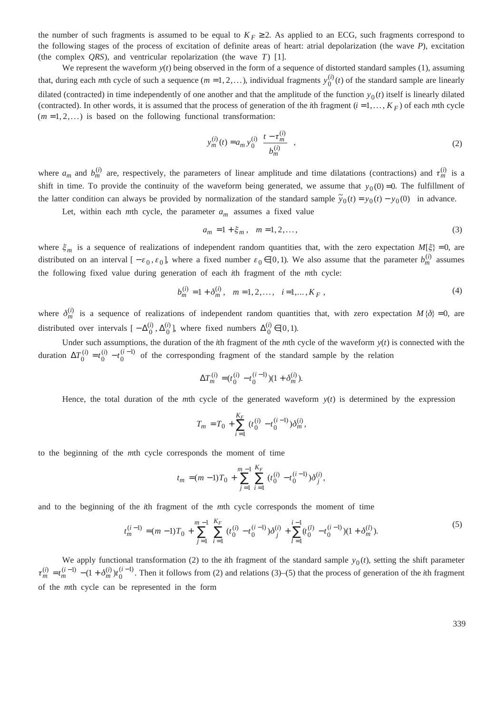the number of such fragments is assumed to be equal to  $K_F \geq 2$ . As applied to an ECG, such fragments correspond to the following stages of the process of excitation of definite areas of heart: atrial depolarization (the wave *P*), excitation (the complex *QRS*), and ventricular repolarization (the wave *T*) [1].

We represent the waveform  $y(t)$  being observed in the form of a sequence of distorted standard samples (1), assuming that, during each *m*th cycle of such a sequence  $(m = 1, 2, ...)$ , individual fragments  $y_0^{(i)}(t)$  of the standard sample are linearly dilated (contracted) in time independently of one another and that the amplitude of the function  $y_0(t)$  itself is linearly dilated (contracted). In other words, it is assumed that the process of generation of the *i*th fragment  $(i = 1, ..., K_F)$  of each *m*th cycle  $(m = 1, 2, ...)$  is based on the following functional transformation:

$$
y_m^{(i)}(t) = a_m y_0^{(i)} \left( \frac{t - \tau_m^{(i)}}{b_m^{(i)}} \right),
$$
 (2)

where  $a_m$  and  $b_m^{(i)}$  are, respectively, the parameters of linear amplitude and time dilatations (contractions) and  $\tau_m^{(i)}$  is a shift in time. To provide the continuity of the waveform being generated, we assume that  $y_0(0) = 0$ . The fulfillment of the latter condition can always be provided by normalization of the standard sample  $\tilde{y}_0(t) = y_0(t) - y_0(0)$  in advance.

Let, within each *m*th cycle, the parameter  $a_m$  assumes a fixed value

$$
a_m = 1 + \xi_m, \quad m = 1, 2, \dots,
$$
 (3)

where  $\xi_m$  is a sequence of realizations of independent random quantities that, with the zero expectation  $M[\xi] = 0$ , are distributed on an interval  $[-\varepsilon_0, \varepsilon_0]$ , where a fixed number  $\varepsilon_0 \in [0,1)$ . We also assume that the parameter  $b_m^{(i)}$  assumes the following fixed value during generation of each *i*th fragment of the *m*th cycle:

$$
b_m^{(i)} = 1 + \delta_m^{(i)}, \quad m = 1, 2, \dots, \quad i = 1, \dots, K_F,
$$
\n<sup>(4)</sup>

where  $\delta_m^{(i)}$  is a sequence of realizations of independent random quantities that, with zero expectation  $M\{\delta\}=0$ , are distributed over intervals  $[-\Delta_0^{(i)}, \Delta_0^{(i)}]$ , where fixed numbers  $\Delta_0^{(i)} \in [0, 1)$ .

Under such assumptions, the duration of the *i*th fragment of the *m*th cycle of the waveform  $y(t)$  is connected with the duration  $\Delta T_0^{(i)} = t_0^{(i)} - t_0^{(i-1)}$  of the corresponding fragment of the standard sample by the relation

$$
\Delta T_m^{(i)} = (t_0^{(i)} - t_0^{(i-1)})(1 + \delta_m^{(i)}).
$$

Hence, the total duration of the *m*th cycle of the generated waveform  $y(t)$  is determined by the expression

$$
T_m = T_0 + \sum_{i=1}^{K_F} (t_0^{(i)} - t_0^{(i-1)}) \delta_m^{(i)},
$$

to the beginning of the *m*th cycle corresponds the moment of time

$$
t_m = (m-1)T_0 + \sum_{j=1}^{m-1} \sum_{i=1}^{K_F} (t_0^{(i)} - t_0^{(i-1)}) \delta_j^{(i)},
$$

and to the beginning of the *i*th fragment of the *m*th cycle corresponds the moment of time

$$
t_m^{(i-1)} = (m-1)T_0 + \sum_{j=1}^{m-1} \sum_{i=1}^{K_F} (t_0^{(i)} - t_0^{(i-1)}) \delta_j^{(i)} + \sum_{l=1}^{i-1} (t_0^{(l)} - t_0^{(i-1)}) (1 + \delta_m^{(l)}).
$$
\n
$$
(5)
$$

We apply functional transformation (2) to the *i*th fragment of the standard sample  $y_0(t)$ , setting the shift parameter  $\tau_m^{(i)} = t_m^{(i-1)} - (1 + \delta_m^{(i)}) t_0^{(i-1)}$ . Then it follows from (2) and relations (3)–(5) that the process of generation of the *i*th fragment of the *m*th cycle can be represented in the form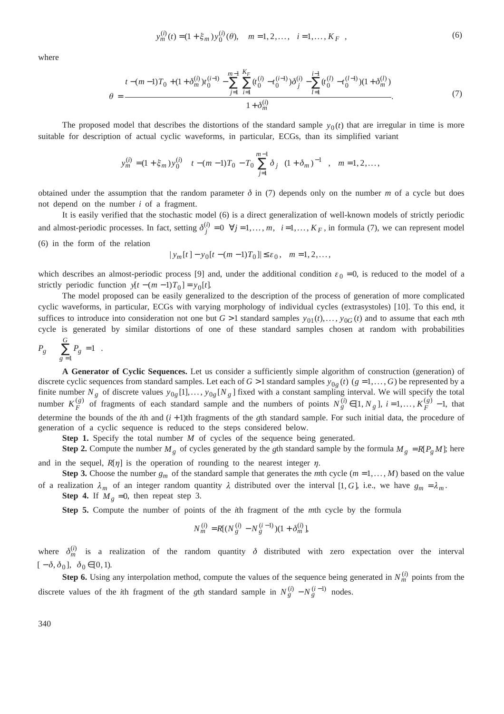$$
y_m^{(i)}(t) = (1 + \xi_m) y_0^{(i)}(\theta), \quad m = 1, 2, \dots, \quad i = 1, \dots, K_F \quad , \tag{6}
$$

where

$$
\theta = \frac{t - (m - 1)T_0 + (1 + \delta_m^{(i)})t_0^{(i-1)}}{1 + \delta_m^{(i)}} - \sum_{j=1}^{m-1} \sum_{i=1}^{K_F} (t_0^{(i)} - t_0^{(i-1)})\delta_j^{(i)} - \sum_{l=1}^{i-1} (t_0^{(l)} - t_0^{(l-1)})(1 + \delta_m^{(l)})}{1 + \delta_m^{(i)}}.
$$
(7)

The proposed model that describes the distortions of the standard sample  $y_0(t)$  that are irregular in time is more suitable for description of actual cyclic waveforms, in particular, ECGs, than its simplified variant

$$
y_m^{(i)} = (1 + \xi_m) y_0^{(i)} \left[ \left( t - (m-1)T_0 - T_0 \sum_{j=1}^{m-1} \delta_j \right) (1 + \delta_m)^{-1} \right], \quad m = 1, 2, \dots,
$$

obtained under the assumption that the random parameter  $\delta$  in (7) depends only on the number *m* of a cycle but does not depend on the number *i* of a fragment.

It is easily verified that the stochastic model (6) is a direct generalization of well-known models of strictly periodic and almost-periodic processes. In fact, setting  $\delta_j^{(i)} = 0 \quad \forall j = 1, ..., m, \quad i = 1, ..., K_F$ , in formula (7), we can represent model (6) in the form of the relation

$$
|y_m[t]-y_0[t-(m-1)T_0]|\leq \varepsilon_0
$$
,  $m=1,2,...$ ,

which describes an almost-periodic process [9] and, under the additional condition  $\varepsilon_0 = 0$ , is reduced to the model of a strictly periodic function  $y[t - (m - 1)T_0] = y_0[t]$ .

The model proposed can be easily generalized to the description of the process of generation of more complicated cyclic waveforms, in particular, ECGs with varying morphology of individual cycles (extrasystoles) [10]. To this end, it suffices to introduce into consideration not one but  $G > 1$  standard samples  $y_{01}(t), \ldots, y_{0G}(t)$  and to assume that each *m*th cycle is generated by similar distortions of one of these standard samples chosen at random with probabilities

$$
P_g \left( \sum_{g=1}^G P_g = 1 \right).
$$

**A Generator of Cyclic Sequences.** Let us consider a sufficiently simple algorithm of construction (generation) of discrete cyclic sequences from standard samples. Let each of  $G > 1$  standard samples  $y_{0g}(t)$  ( $g = 1, \ldots, G$ ) be represented by a finite number  $N_g$  of discrete values  $y_{0g}[1],..., y_{0g}[N_g]$  fixed with a constant sampling interval. We will specify the total number  $K_F^{(g)}$  of fragments of each standard sample and the numbers of points  $N_g^{(i)} \in [1, N_g]$ ,  $i = 1, ..., K_F^{(g)} - 1$ , that determine the bounds of the *i*th and  $(i + 1)$ th fragments of the *g*th standard sample. For such initial data, the procedure of generation of a cyclic sequence is reduced to the steps considered below.

**Step 1.** Specify the total number *M* of cycles of the sequence being generated.

**Step 2.** Compute the number  $M_g$  of cycles generated by the *g*th standard sample by the formula  $M_g = R[P_g M]$ ; here and in the sequel,  $R[\eta]$  is the operation of rounding to the nearest integer  $\eta$ .

**Step 3.** Choose the number  $g_m$  of the standard sample that generates the *m*th cycle  $(m = 1, ..., M)$  based on the value of a realization  $\lambda_m$  of an integer random quantity  $\lambda$  distributed over the interval [1, G], i.e., we have  $g_m = \lambda_m$ .

**Step 4.** If  $M_g = 0$ , then repeat step 3.

**Step 5.** Compute the number of points of the *i*th fragment of the *m*th cycle by the formula

$$
N_m^{(i)} = R[(N_g^{(i)} - N_g^{(i-1)})(1 + \delta_m^{(i)}],
$$

where  $\delta_m^{(i)}$  is a realization of the random quantity  $\delta$  distributed with zero expectation over the interval  $[-\delta, \delta_0], \delta_0 \in [0, 1].$ 

**Step 6.** Using any interpolation method, compute the values of the sequence being generated in  $N_m^{(i)}$  points from the discrete values of the *i*th fragment of the *g*th standard sample in  $N_g^{(i)} - N_g^{(i-1)}$  nodes.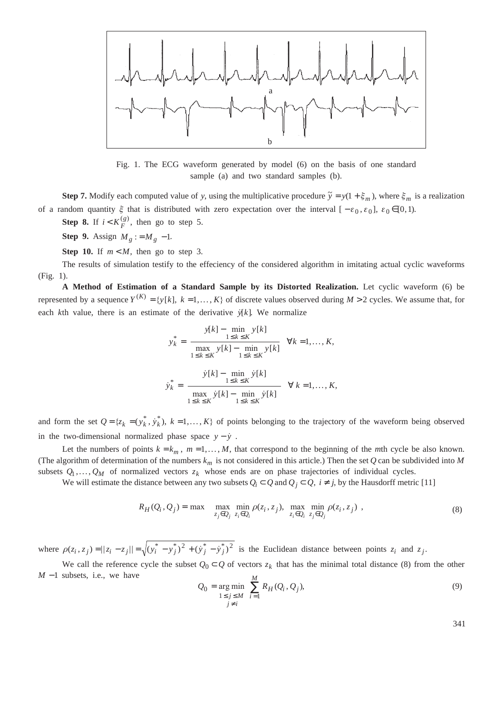

Fig. 1. The ECG waveform generated by model (6) on the basis of one standard sample (a) and two standard samples (b).

**Step 7.** Modify each computed value of *y*, using the multiplicative procedure  $\tilde{y} = y(1 + \xi_m)$ , where  $\xi_m$  is a realization of a random quantity  $\xi$  that is distributed with zero expectation over the interval  $[-\varepsilon_0, \varepsilon_0]$ ,  $\varepsilon_0 \in [0, 1)$ .

**Step 8.** If  $i < K_F^{(g)}$ , then go to step 5.

**Step 9.** Assign  $M_g := M_g - 1$ .

**Step 10.** If  $m < M$ , then go to step 3.

The results of simulation testify to the effeciency of the considered algorithm in imitating actual cyclic waveforms (Fig. 1).

**A Method of Estimation of a Standard Sample by its Distorted Realization.** Let cyclic waveform (6) be represented by a sequence  $Y^{(K)} = \{y[k], k = 1, ..., K\}$  of discrete values observed during  $M > 2$  cycles. We assume that, for each *k*th value, there is an estimate of the derivative  $\dot{y}[k]$ . We normalize

$$
y_k^* = \frac{y[k] - \min_{1 \le k \le K} y[k]}{\max_{1 \le k \le K} y[k] - \min_{1 \le k \le K} y[k]} \quad \forall k = 1, \dots, K,
$$

$$
\dot{y}_k^* = \frac{\dot{y}[k] - \min_{1 \le k \le K} \dot{y}[k]}{\max_{1 \le k \le K} \dot{y}[k] - \min_{1 \le k \le K} \dot{y}[k]} \quad \forall k = 1, \dots, K,
$$

and form the set  $Q = \{z_k = (y_k^*, \dot{y}_k^*)\}$ ,  $k = 1, ..., K\}$  of points belonging to the trajectory of the waveform being observed in the two-dimensional normalized phase space  $y - \dot{y}$ .

Let the numbers of points  $k = k_m$ ,  $m = 1, ..., M$ , that correspond to the beginning of the *m*th cycle be also known. (The algorithm of determination of the numbers  $k_m$  is not considered in this article.) Then the set  $Q$  can be subdivided into M subsets  $Q_1, \ldots, Q_M$  of normalized vectors  $z_k$  whose ends are on phase trajectories of individual cycles.

We will estimate the distance between any two subsets  $Q_i \subset Q$  and  $Q_j \subset Q$ ,  $i \neq j$ , by the Hausdorff metric [11]

$$
R_H(Q_i, Q_j) = \max \left\{ \max_{z_j \in Q_j} \min_{z_i \in Q_i} \rho(z_i, z_j), \max_{z_i \in Q_i} \min_{z_j \in Q_j} \rho(z_i, z_j) \right\},\tag{8}
$$

where  $\rho(z_i, z_j) = ||z_i - z_j|| = \sqrt{(y_i^* - y_j^*)^2 + (y_j^* - y_j^*)^2}$  is the Euclidean distance between points  $z_i$  and  $z_j$ .

We call the reference cycle the subset  $Q_0 \subset Q$  of vectors  $z_k$  that has the minimal total distance (8) from the other *M* −1 subsets, i.e., we have *M*

$$
Q_0 = \underset{\substack{1 \le j \le M \\ j \ne i}}{\arg \min} \sum_{i=1}^{M} R_H(Q_i, Q_j),
$$
 (9)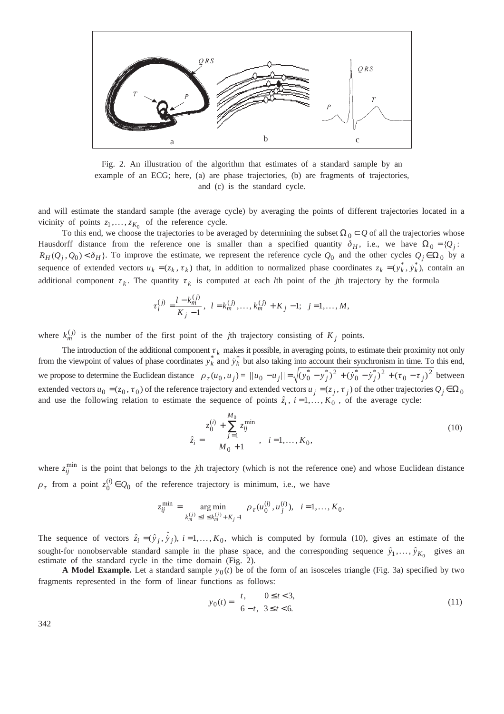

Fig. 2. An illustration of the algorithm that estimates of a standard sample by an example of an ECG; here, (a) are phase trajectories, (b) are fragments of trajectories, and (c) is the standard cycle.

and will estimate the standard sample (the average cycle) by averaging the points of different trajectories located in a vicinity of points  $z_1, \ldots, z_{K_0}$  of the reference cycle.

To this end, we choose the trajectories to be averaged by determining the subset  $\Omega_0 \subset Q$  of all the trajectories whose Hausdorff distance from the reference one is smaller than a specified quantity  $\delta_H$ , i.e., we have  $\Omega_0 = \{Q_i:$  $R_H(Q_j, Q_0) < \delta_H$ . To improve the estimate, we represent the reference cycle  $Q_0$  and the other cycles  $Q_j \in \Omega_0$  by a sequence of extended vectors  $u_k = (z_k, \tau_k)$  that, in addition to normalized phase coordinates  $z_k = (y_k^*, y_k^*)$ , contain an additional component  $\tau_k$ . The quantity  $\tau_k$  is computed at each *l*th point of the *j*th trajectory by the formula

$$
\tau_l^{(j)} = \frac{l - k_m^{(j)}}{K_j - 1}, \quad l = k_m^{(j)}, \dots, k_m^{(j)} + K_j - 1; \quad j = 1, \dots, M,
$$

where  $k_m^{(j)}$  is the number of the first point of the *j*th trajectory consisting of  $K_j$  points.

The introduction of the additional component  $\tau_k$  makes it possible, in averaging points, to estimate their proximity not only from the viewpoint of values of phase coordinates  $y_k^*$  and  $\dot{y}_k^*$  but also taking into account their synchronism in time. To this end, we propose to determine the Euclidean distance  $\rho_{\tau}(u_0, u_j) = ||u_0 - u_j|| = \sqrt{(y_0^* - y_j^*)^2 + (y_0^* - y_j^*)^2 + (\tau_0 - \tau_j)^2}$  between extended vectors  $u_0 = (z_0, \tau_0)$  of the reference trajectory and extended vectors  $u_j = (z_j, \tau_j)$  of the other trajectories  $Q_j \in \Omega_0$ and use the following relation to estimate the sequence of points  $\hat{z}_i$ ,  $i = 1, ..., K_0$ , of the average cycle:

$$
\hat{z}_i = \frac{z_0^{(i)} + \sum_{j=1}^{M_0} z_{ij}^{\min}}{M_0 + 1}, \quad i = 1, ..., K_0,
$$
\n(10)

where  $z_{ij}^{\min}$  is the point that belongs to the *j*th trajectory (which is not the reference one) and whose Euclidean distance  $\rho_{\tau}$  from a point  $z_0^{(i)} \in Q_0$  of the reference trajectory is minimum, i.e., we have

$$
z_{ij}^{\min} = \underset{k_m^{(j)} \leq l \leq k_m^{(j)} + K_j - 1}{\arg \min} \ \rho_{\tau}(u_0^{(i)}, u_j^{(l)}), \ \ i = 1, \dots, K_0.
$$

The sequence of vectors  $\hat{z}_i = (\hat{y}_j, \hat{y}_j)$ ,  $i = 1, ..., K_0$ , which is computed by formula (10), gives an estimate of the sought-for nonobservable standard sample in the phase space, and the corresponding sequence  $\hat{y}_1, \dots, \hat{y}_{K_0}$  gives an estimate of the standard cycle in the time domain (Fig. 2).

**A Model Example.** Let a standard sample  $y_0(t)$  be of the form of an isosceles triangle (Fig. 3a) specified by two fragments represented in the form of linear functions as follows:

$$
y_0(t) = \begin{cases} t, & 0 \le t < 3, \\ 6 - t, & 3 \le t < 6. \end{cases}
$$
 (11)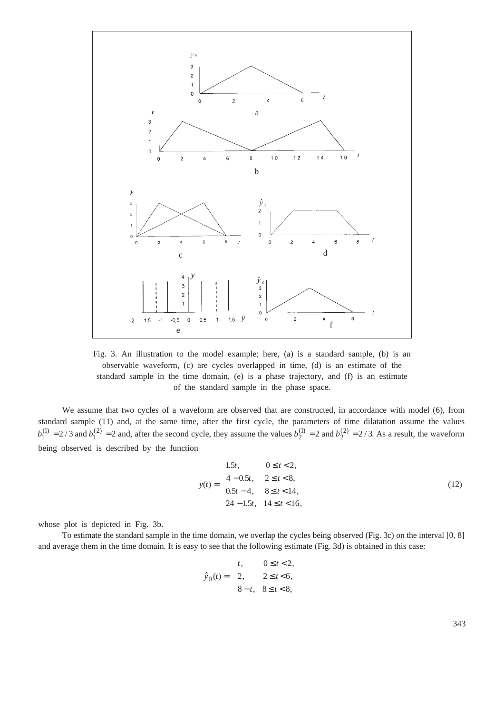

Fig. 3. An illustration to the model example; here, (a) is a standard sample, (b) is an observable waveform, (c) are cycles overlapped in time, (d) is an estimate of the standard sample in the time domain, (e) is a phase trajectory, and (f) is an estimate of the standard sample in the phase space.

We assume that two cycles of a waveform are observed that are constructed, in accordance with model (6), from standard sample (11) and, at the same time, after the first cycle, the parameters of time dilatation assume the values  $b_1^{(1)} = 2/3$  and  $b_1^{(2)} = 2$  and, after the second cycle, they assume the values  $b_2^{(1)} = 2$  and  $b_2^{(2)} = 2/3$ . As a result, the waveform being observed is described by the function

$$
y(t) = \begin{cases} 1.5t, & 0 \le t < 2, \\ 4 - 0.5t, & 2 \le t < 8, \\ 0.5t - 4, & 8 \le t < 14, \\ 24 - 1.5t, & 14 \le t < 16, \end{cases}
$$
(12)

whose plot is depicted in Fig. 3b.

To estimate the standard sample in the time domain, we overlap the cycles being observed (Fig. 3c) on the interval [0, 8] and average them in the time domain. It is easy to see that the following estimate (Fig. 3d) is obtained in this case:

$$
\hat{y}_0(t) = \begin{cases} t, & 0 \le t < 2, \\ 2, & 2 \le t < 6, \\ 8-t, & 8 \le t < 8, \end{cases}
$$